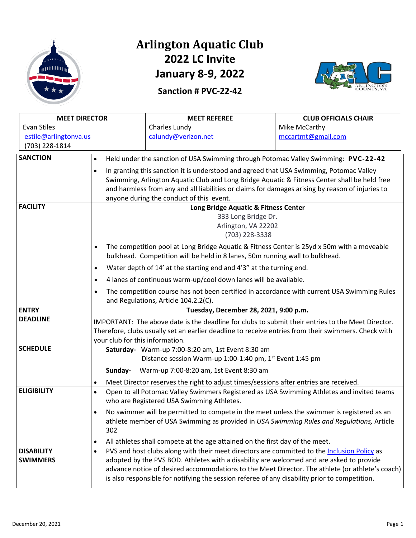

### **Arlington Aquatic Club 2022 LC Invite January 8-9, 2022**

**Sanction # PVC-22-42**



| <b>MEET DIRECTOR</b>  |                                                                                                                                                                                                                                                                                                                                                      | <b>MEET REFEREE</b>                                                                                                                                                                                                                                                                          | <b>CLUB OFFICIALS CHAIR</b> |  |
|-----------------------|------------------------------------------------------------------------------------------------------------------------------------------------------------------------------------------------------------------------------------------------------------------------------------------------------------------------------------------------------|----------------------------------------------------------------------------------------------------------------------------------------------------------------------------------------------------------------------------------------------------------------------------------------------|-----------------------------|--|
| Evan Stiles           |                                                                                                                                                                                                                                                                                                                                                      | Charles Lundy                                                                                                                                                                                                                                                                                | Mike McCarthy               |  |
| estile@arlingtonva.us |                                                                                                                                                                                                                                                                                                                                                      | calundy@verizon.net                                                                                                                                                                                                                                                                          | mccartmt@gmail.com          |  |
| (703) 228-1814        |                                                                                                                                                                                                                                                                                                                                                      |                                                                                                                                                                                                                                                                                              |                             |  |
| <b>SANCTION</b>       | Held under the sanction of USA Swimming through Potomac Valley Swimming: PVC-22-42<br>$\bullet$                                                                                                                                                                                                                                                      |                                                                                                                                                                                                                                                                                              |                             |  |
|                       | In granting this sanction it is understood and agreed that USA Swimming, Potomac Valley<br>$\bullet$<br>Swimming, Arlington Aquatic Club and Long Bridge Aquatic & Fitness Center shall be held free<br>and harmless from any and all liabilities or claims for damages arising by reason of injuries to<br>anyone during the conduct of this event. |                                                                                                                                                                                                                                                                                              |                             |  |
| <b>FACILITY</b>       |                                                                                                                                                                                                                                                                                                                                                      | Long Bridge Aquatic & Fitness Center<br>333 Long Bridge Dr.<br>Arlington, VA 22202<br>(703) 228-3338                                                                                                                                                                                         |                             |  |
|                       | The competition pool at Long Bridge Aquatic & Fitness Center is 25yd x 50m with a moveable<br>$\bullet$<br>bulkhead. Competition will be held in 8 lanes, 50m running wall to bulkhead.                                                                                                                                                              |                                                                                                                                                                                                                                                                                              |                             |  |
|                       | Water depth of 14' at the starting end and 4'3" at the turning end.<br>$\bullet$                                                                                                                                                                                                                                                                     |                                                                                                                                                                                                                                                                                              |                             |  |
|                       | 4 lanes of continuous warm-up/cool down lanes will be available.<br>$\bullet$                                                                                                                                                                                                                                                                        |                                                                                                                                                                                                                                                                                              |                             |  |
|                       | $\bullet$                                                                                                                                                                                                                                                                                                                                            | The competition course has not been certified in accordance with current USA Swimming Rules<br>and Regulations, Article 104.2.2(C).                                                                                                                                                          |                             |  |
| <b>ENTRY</b>          | Tuesday, December 28, 2021, 9:00 p.m.                                                                                                                                                                                                                                                                                                                |                                                                                                                                                                                                                                                                                              |                             |  |
| <b>DEADLINE</b>       | IMPORTANT: The above date is the deadline for clubs to submit their entries to the Meet Director.<br>Therefore, clubs usually set an earlier deadline to receive entries from their swimmers. Check with<br>your club for this information.                                                                                                          |                                                                                                                                                                                                                                                                                              |                             |  |
| <b>SCHEDULE</b>       |                                                                                                                                                                                                                                                                                                                                                      | Saturday- Warm-up 7:00-8:20 am, 1st Event 8:30 am<br>Distance session Warm-up 1:00-1:40 pm, 1 <sup>st</sup> Event 1:45 pm                                                                                                                                                                    |                             |  |
|                       | Sunday-                                                                                                                                                                                                                                                                                                                                              | Warm-up 7:00-8:20 am, 1st Event 8:30 am                                                                                                                                                                                                                                                      |                             |  |
| <b>ELIGIBILITY</b>    | Meet Director reserves the right to adjust times/sessions after entries are received.<br>$\bullet$<br>Open to all Potomac Valley Swimmers Registered as USA Swimming Athletes and invited teams<br>$\bullet$<br>who are Registered USA Swimming Athletes.                                                                                            |                                                                                                                                                                                                                                                                                              |                             |  |
|                       | $\bullet$<br>302                                                                                                                                                                                                                                                                                                                                     | No swimmer will be permitted to compete in the meet unless the swimmer is registered as an<br>athlete member of USA Swimming as provided in USA Swimming Rules and Regulations, Article                                                                                                      |                             |  |
| <b>DISABILITY</b>     | $\bullet$<br>$\bullet$                                                                                                                                                                                                                                                                                                                               | All athletes shall compete at the age attained on the first day of the meet.<br>PVS and host clubs along with their meet directors are committed to the Inclusion Policy as                                                                                                                  |                             |  |
| <b>SWIMMERS</b>       |                                                                                                                                                                                                                                                                                                                                                      | adopted by the PVS BOD. Athletes with a disability are welcomed and are asked to provide<br>advance notice of desired accommodations to the Meet Director. The athlete (or athlete's coach)<br>is also responsible for notifying the session referee of any disability prior to competition. |                             |  |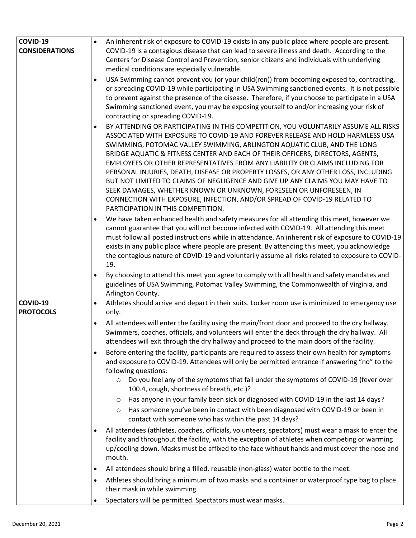| COVID-19                     | An inherent risk of exposure to COVID-19 exists in any public place where people are present.                                                                                                                                                                                                                                                                                                                                                                                                                                                                                                                                                                                                                                                                                                     |
|------------------------------|---------------------------------------------------------------------------------------------------------------------------------------------------------------------------------------------------------------------------------------------------------------------------------------------------------------------------------------------------------------------------------------------------------------------------------------------------------------------------------------------------------------------------------------------------------------------------------------------------------------------------------------------------------------------------------------------------------------------------------------------------------------------------------------------------|
| <b>CONSIDERATIONS</b>        | COVID-19 is a contagious disease that can lead to severe illness and death. According to the                                                                                                                                                                                                                                                                                                                                                                                                                                                                                                                                                                                                                                                                                                      |
|                              | Centers for Disease Control and Prevention, senior citizens and individuals with underlying                                                                                                                                                                                                                                                                                                                                                                                                                                                                                                                                                                                                                                                                                                       |
|                              | medical conditions are especially vulnerable.                                                                                                                                                                                                                                                                                                                                                                                                                                                                                                                                                                                                                                                                                                                                                     |
|                              | USA Swimming cannot prevent you (or your child(ren)) from becoming exposed to, contracting,<br>$\bullet$<br>or spreading COVID-19 while participating in USA Swimming sanctioned events. It is not possible<br>to prevent against the presence of the disease. Therefore, if you choose to participate in a USA<br>Swimming sanctioned event, you may be exposing yourself to and/or increasing your risk of<br>contracting or spreading COVID-19.                                                                                                                                                                                                                                                                                                                                                |
|                              | BY ATTENDING OR PARTICIPATING IN THIS COMPETITION, YOU VOLUNTARILY ASSUME ALL RISKS<br>$\bullet$<br>ASSOCIATED WITH EXPOSURE TO COVID-19 AND FOREVER RELEASE AND HOLD HARMLESS USA<br>SWIMMING, POTOMAC VALLEY SWIMMING, ARLINGTON AQUATIC CLUB, AND THE LONG<br>BRIDGE AQUATIC & FITNESS CENTER AND EACH OF THEIR OFFICERS, DIRECTORS, AGENTS,<br>EMPLOYEES OR OTHER REPRESENTATIVES FROM ANY LIABILITY OR CLAIMS INCLUDING FOR<br>PERSONAL INJURIES, DEATH, DISEASE OR PROPERTY LOSSES, OR ANY OTHER LOSS, INCLUDING<br>BUT NOT LIMITED TO CLAIMS OF NEGLIGENCE AND GIVE UP ANY CLAIMS YOU MAY HAVE TO<br>SEEK DAMAGES, WHETHER KNOWN OR UNKNOWN, FORESEEN OR UNFORESEEN, IN<br>CONNECTION WITH EXPOSURE, INFECTION, AND/OR SPREAD OF COVID-19 RELATED TO<br>PARTICIPATION IN THIS COMPETITION. |
|                              | We have taken enhanced health and safety measures for all attending this meet, however we<br>$\bullet$<br>cannot guarantee that you will not become infected with COVID-19. All attending this meet<br>must follow all posted instructions while in attendance. An inherent risk of exposure to COVID-19<br>exists in any public place where people are present. By attending this meet, you acknowledge<br>the contagious nature of COVID-19 and voluntarily assume all risks related to exposure to COVID-<br>19.                                                                                                                                                                                                                                                                               |
|                              | By choosing to attend this meet you agree to comply with all health and safety mandates and<br>$\bullet$<br>guidelines of USA Swimming, Potomac Valley Swimming, the Commonwealth of Virginia, and<br>Arlington County.                                                                                                                                                                                                                                                                                                                                                                                                                                                                                                                                                                           |
| COVID-19<br><b>PROTOCOLS</b> | Athletes should arrive and depart in their suits. Locker room use is minimized to emergency use<br>$\bullet$<br>only.                                                                                                                                                                                                                                                                                                                                                                                                                                                                                                                                                                                                                                                                             |
|                              | All attendees will enter the facility using the main/front door and proceed to the dry hallway.<br>$\bullet$<br>Swimmers, coaches, officials, and volunteers will enter the deck through the dry hallway. All<br>attendees will exit through the dry hallway and proceed to the main doors of the facility.                                                                                                                                                                                                                                                                                                                                                                                                                                                                                       |
|                              | Before entering the facility, participants are required to assess their own health for symptoms<br>$\bullet$<br>and exposure to COVID-19. Attendees will only be permitted entrance if answering "no" to the<br>following questions:                                                                                                                                                                                                                                                                                                                                                                                                                                                                                                                                                              |
|                              | Do you feel any of the symptoms that fall under the symptoms of COVID-19 (fever over<br>$\circ$<br>100.4, cough, shortness of breath, etc.)?                                                                                                                                                                                                                                                                                                                                                                                                                                                                                                                                                                                                                                                      |
|                              | Has anyone in your family been sick or diagnosed with COVID-19 in the last 14 days?<br>$\circ$                                                                                                                                                                                                                                                                                                                                                                                                                                                                                                                                                                                                                                                                                                    |
|                              | Has someone you've been in contact with been diagnosed with COVID-19 or been in<br>$\circ$<br>contact with someone who has within the past 14 days?                                                                                                                                                                                                                                                                                                                                                                                                                                                                                                                                                                                                                                               |
|                              | All attendees (athletes, coaches, officials, volunteers, spectators) must wear a mask to enter the<br>$\bullet$<br>facility and throughout the facility, with the exception of athletes when competing or warming<br>up/cooling down. Masks must be affixed to the face without hands and must cover the nose and<br>mouth.                                                                                                                                                                                                                                                                                                                                                                                                                                                                       |
|                              | All attendees should bring a filled, reusable (non-glass) water bottle to the meet.<br>$\bullet$                                                                                                                                                                                                                                                                                                                                                                                                                                                                                                                                                                                                                                                                                                  |
|                              | Athletes should bring a minimum of two masks and a container or waterproof type bag to place<br>$\bullet$<br>their mask in while swimming.                                                                                                                                                                                                                                                                                                                                                                                                                                                                                                                                                                                                                                                        |
|                              | Spectators will be permitted. Spectators must wear masks.<br>$\bullet$                                                                                                                                                                                                                                                                                                                                                                                                                                                                                                                                                                                                                                                                                                                            |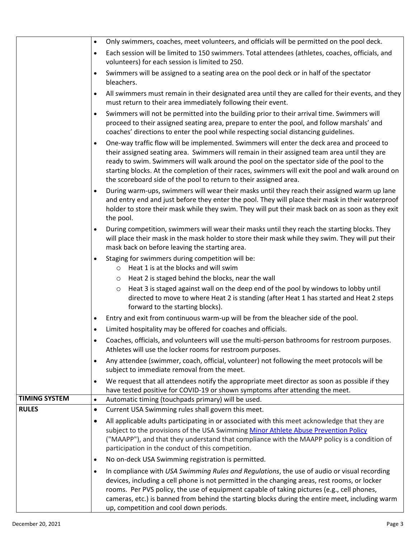|                      | $\bullet$              | Only swimmers, coaches, meet volunteers, and officials will be permitted on the pool deck.                                                                                                                                                                                                                                                                                                                                                                         |  |  |
|----------------------|------------------------|--------------------------------------------------------------------------------------------------------------------------------------------------------------------------------------------------------------------------------------------------------------------------------------------------------------------------------------------------------------------------------------------------------------------------------------------------------------------|--|--|
|                      | $\bullet$              | Each session will be limited to 150 swimmers. Total attendees (athletes, coaches, officials, and<br>volunteers) for each session is limited to 250.                                                                                                                                                                                                                                                                                                                |  |  |
|                      |                        | Swimmers will be assigned to a seating area on the pool deck or in half of the spectator<br>bleachers.                                                                                                                                                                                                                                                                                                                                                             |  |  |
|                      | $\bullet$              | All swimmers must remain in their designated area until they are called for their events, and they<br>must return to their area immediately following their event.                                                                                                                                                                                                                                                                                                 |  |  |
|                      | $\bullet$              | Swimmers will not be permitted into the building prior to their arrival time. Swimmers will<br>proceed to their assigned seating area, prepare to enter the pool, and follow marshals' and<br>coaches' directions to enter the pool while respecting social distancing guidelines.                                                                                                                                                                                 |  |  |
|                      | $\bullet$              | One-way traffic flow will be implemented. Swimmers will enter the deck area and proceed to<br>their assigned seating area. Swimmers will remain in their assigned team area until they are<br>ready to swim. Swimmers will walk around the pool on the spectator side of the pool to the<br>starting blocks. At the completion of their races, swimmers will exit the pool and walk around on<br>the scoreboard side of the pool to return to their assigned area. |  |  |
|                      | $\bullet$              | During warm-ups, swimmers will wear their masks until they reach their assigned warm up lane<br>and entry end and just before they enter the pool. They will place their mask in their waterproof<br>holder to store their mask while they swim. They will put their mask back on as soon as they exit<br>the pool.                                                                                                                                                |  |  |
|                      | $\bullet$              | During competition, swimmers will wear their masks until they reach the starting blocks. They<br>will place their mask in the mask holder to store their mask while they swim. They will put their<br>mask back on before leaving the starting area.                                                                                                                                                                                                               |  |  |
|                      | $\bullet$              | Staging for swimmers during competition will be:<br>Heat 1 is at the blocks and will swim<br>$\circ$                                                                                                                                                                                                                                                                                                                                                               |  |  |
|                      |                        | Heat 2 is staged behind the blocks, near the wall<br>$\circ$                                                                                                                                                                                                                                                                                                                                                                                                       |  |  |
|                      |                        | Heat 3 is staged against wall on the deep end of the pool by windows to lobby until<br>$\circ$<br>directed to move to where Heat 2 is standing (after Heat 1 has started and Heat 2 steps<br>forward to the starting blocks).                                                                                                                                                                                                                                      |  |  |
|                      | $\bullet$              | Entry and exit from continuous warm-up will be from the bleacher side of the pool.                                                                                                                                                                                                                                                                                                                                                                                 |  |  |
|                      | $\bullet$              | Limited hospitality may be offered for coaches and officials.                                                                                                                                                                                                                                                                                                                                                                                                      |  |  |
|                      |                        | Coaches, officials, and volunteers will use the multi-person bathrooms for restroom purposes.<br>Athletes will use the locker rooms for restroom purposes.                                                                                                                                                                                                                                                                                                         |  |  |
|                      | $\bullet$              | Any attendee (swimmer, coach, official, volunteer) not following the meet protocols will be<br>subject to immediate removal from the meet.                                                                                                                                                                                                                                                                                                                         |  |  |
|                      | $\bullet$              | We request that all attendees notify the appropriate meet director as soon as possible if they<br>have tested positive for COVID-19 or shown symptoms after attending the meet.                                                                                                                                                                                                                                                                                    |  |  |
| <b>TIMING SYSTEM</b> | $\bullet$              | Automatic timing (touchpads primary) will be used.                                                                                                                                                                                                                                                                                                                                                                                                                 |  |  |
| <b>RULES</b>         | $\bullet$              | Current USA Swimming rules shall govern this meet.                                                                                                                                                                                                                                                                                                                                                                                                                 |  |  |
|                      | $\bullet$<br>$\bullet$ | All applicable adults participating in or associated with this meet acknowledge that they are<br>subject to the provisions of the USA Swimming Minor Athlete Abuse Prevention Policy<br>("MAAPP"), and that they understand that compliance with the MAAPP policy is a condition of<br>participation in the conduct of this competition.<br>No on-deck USA Swimming registration is permitted.                                                                     |  |  |
|                      |                        |                                                                                                                                                                                                                                                                                                                                                                                                                                                                    |  |  |
|                      | $\bullet$              | In compliance with USA Swimming Rules and Regulations, the use of audio or visual recording<br>devices, including a cell phone is not permitted in the changing areas, rest rooms, or locker<br>rooms. Per PVS policy, the use of equipment capable of taking pictures (e.g., cell phones,<br>cameras, etc.) is banned from behind the starting blocks during the entire meet, including warm<br>up, competition and cool down periods.                            |  |  |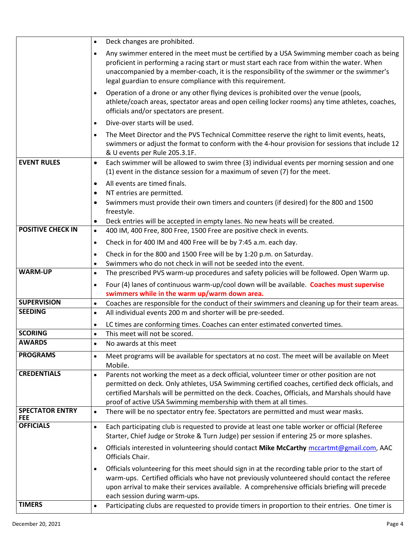|                                      | Deck changes are prohibited.<br>$\bullet$                                                                                                                                                                                                                                                                                                                                       |
|--------------------------------------|---------------------------------------------------------------------------------------------------------------------------------------------------------------------------------------------------------------------------------------------------------------------------------------------------------------------------------------------------------------------------------|
|                                      | Any swimmer entered in the meet must be certified by a USA Swimming member coach as being<br>$\bullet$<br>proficient in performing a racing start or must start each race from within the water. When<br>unaccompanied by a member-coach, it is the responsibility of the swimmer or the swimmer's<br>legal guardian to ensure compliance with this requirement.                |
|                                      | Operation of a drone or any other flying devices is prohibited over the venue (pools,<br>$\bullet$<br>athlete/coach areas, spectator areas and open ceiling locker rooms) any time athletes, coaches,<br>officials and/or spectators are present.                                                                                                                               |
|                                      | Dive-over starts will be used.<br>$\bullet$                                                                                                                                                                                                                                                                                                                                     |
|                                      | The Meet Director and the PVS Technical Committee reserve the right to limit events, heats,<br>$\bullet$<br>swimmers or adjust the format to conform with the 4-hour provision for sessions that include 12<br>& U events per Rule 205.3.1F.                                                                                                                                    |
| <b>EVENT RULES</b>                   | Each swimmer will be allowed to swim three (3) individual events per morning session and one<br>$\bullet$<br>(1) event in the distance session for a maximum of seven (7) for the meet.                                                                                                                                                                                         |
|                                      | All events are timed finals.<br>$\bullet$                                                                                                                                                                                                                                                                                                                                       |
|                                      | NT entries are permitted.<br>$\bullet$<br>Swimmers must provide their own timers and counters (if desired) for the 800 and 1500<br>$\bullet$<br>freestyle.                                                                                                                                                                                                                      |
|                                      | Deck entries will be accepted in empty lanes. No new heats will be created.<br>$\bullet$                                                                                                                                                                                                                                                                                        |
| <b>POSITIVE CHECK IN</b>             | 400 IM, 400 Free, 800 Free, 1500 Free are positive check in events.<br>$\bullet$                                                                                                                                                                                                                                                                                                |
|                                      | Check in for 400 IM and 400 Free will be by 7:45 a.m. each day.<br>$\bullet$                                                                                                                                                                                                                                                                                                    |
|                                      | Check in for the 800 and 1500 Free will be by 1:20 p.m. on Saturday.<br>$\bullet$                                                                                                                                                                                                                                                                                               |
| <b>WARM-UP</b>                       | Swimmers who do not check in will not be seeded into the event.<br>$\bullet$<br>The prescribed PVS warm-up procedures and safety policies will be followed. Open Warm up.                                                                                                                                                                                                       |
|                                      | $\bullet$<br>$\bullet$                                                                                                                                                                                                                                                                                                                                                          |
|                                      | Four (4) lanes of continuous warm-up/cool down will be available. Coaches must supervise<br>swimmers while in the warm up/warm down area.                                                                                                                                                                                                                                       |
| <b>SUPERVISION</b>                   | Coaches are responsible for the conduct of their swimmers and cleaning up for their team areas.<br>$\bullet$                                                                                                                                                                                                                                                                    |
| <b>SEEDING</b>                       | All individual events 200 m and shorter will be pre-seeded.<br>$\bullet$                                                                                                                                                                                                                                                                                                        |
|                                      | LC times are conforming times. Coaches can enter estimated converted times.<br>$\bullet$                                                                                                                                                                                                                                                                                        |
| <b>SCORING</b>                       | This meet will not be scored.<br>$\bullet$                                                                                                                                                                                                                                                                                                                                      |
| <b>AWARDS</b>                        | No awards at this meet<br>$\bullet$                                                                                                                                                                                                                                                                                                                                             |
| <b>PROGRAMS</b>                      | Meet programs will be available for spectators at no cost. The meet will be available on Meet<br>$\bullet$<br>Mobile.                                                                                                                                                                                                                                                           |
| <b>CREDENTIALS</b>                   | Parents not working the meet as a deck official, volunteer timer or other position are not<br>$\bullet$<br>permitted on deck. Only athletes, USA Swimming certified coaches, certified deck officials, and<br>certified Marshals will be permitted on the deck. Coaches, Officials, and Marshals should have<br>proof of active USA Swimming membership with them at all times. |
| <b>SPECTATOR ENTRY</b><br><b>FEE</b> | There will be no spectator entry fee. Spectators are permitted and must wear masks.<br>$\bullet$                                                                                                                                                                                                                                                                                |
| <b>OFFICIALS</b>                     | Each participating club is requested to provide at least one table worker or official (Referee<br>$\bullet$<br>Starter, Chief Judge or Stroke & Turn Judge) per session if entering 25 or more splashes.                                                                                                                                                                        |
|                                      | Officials interested in volunteering should contact Mike McCarthy mccartmt@gmail.com, AAC<br>$\bullet$<br>Officials Chair.                                                                                                                                                                                                                                                      |
|                                      | Officials volunteering for this meet should sign in at the recording table prior to the start of<br>$\bullet$<br>warm-ups. Certified officials who have not previously volunteered should contact the referee<br>upon arrival to make their services available. A comprehensive officials briefing will precede<br>each session during warm-ups.                                |
| <b>TIMERS</b>                        | Participating clubs are requested to provide timers in proportion to their entries. One timer is<br>$\bullet$                                                                                                                                                                                                                                                                   |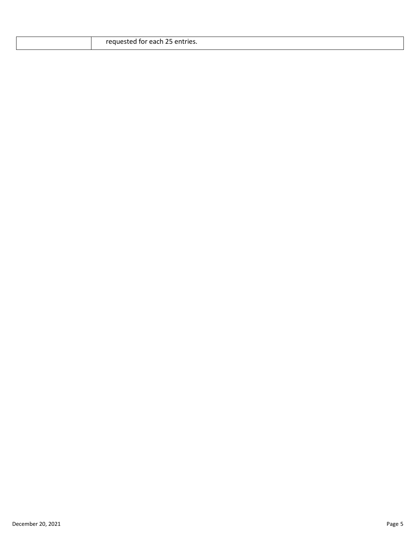| requested<br>25 entries.<br>sted for each 25<br>$\mathcal{L}$<br>. |
|--------------------------------------------------------------------|
|                                                                    |

 $\overline{\phantom{a}}$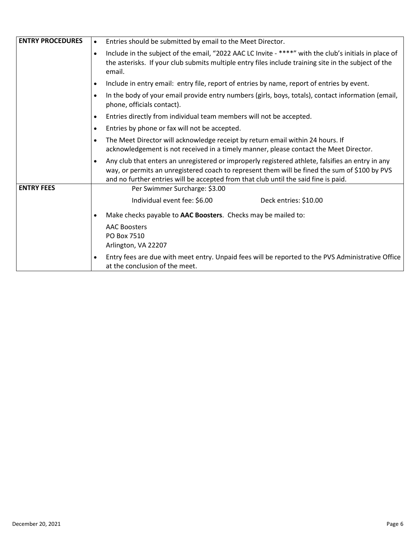| <b>ENTRY PROCEDURES</b> | Entries should be submitted by email to the Meet Director.<br>$\bullet$                                                                                                                                                                                                                               |  |  |
|-------------------------|-------------------------------------------------------------------------------------------------------------------------------------------------------------------------------------------------------------------------------------------------------------------------------------------------------|--|--|
|                         | Include in the subject of the email, "2022 AAC LC Invite - ****" with the club's initials in place of<br>$\bullet$<br>the asterisks. If your club submits multiple entry files include training site in the subject of the<br>email.                                                                  |  |  |
|                         | Include in entry email: entry file, report of entries by name, report of entries by event.<br>$\bullet$                                                                                                                                                                                               |  |  |
|                         | In the body of your email provide entry numbers (girls, boys, totals), contact information (email,<br>$\bullet$<br>phone, officials contact).                                                                                                                                                         |  |  |
|                         | Entries directly from individual team members will not be accepted.<br>$\bullet$                                                                                                                                                                                                                      |  |  |
|                         | Entries by phone or fax will not be accepted.<br>$\bullet$                                                                                                                                                                                                                                            |  |  |
|                         | The Meet Director will acknowledge receipt by return email within 24 hours. If<br>$\bullet$<br>acknowledgement is not received in a timely manner, please contact the Meet Director.                                                                                                                  |  |  |
|                         | Any club that enters an unregistered or improperly registered athlete, falsifies an entry in any<br>$\bullet$<br>way, or permits an unregistered coach to represent them will be fined the sum of \$100 by PVS<br>and no further entries will be accepted from that club until the said fine is paid. |  |  |
| <b>ENTRY FEES</b>       | Per Swimmer Surcharge: \$3.00                                                                                                                                                                                                                                                                         |  |  |
|                         | Individual event fee: \$6.00<br>Deck entries: \$10.00                                                                                                                                                                                                                                                 |  |  |
|                         | Make checks payable to AAC Boosters. Checks may be mailed to:<br>$\bullet$                                                                                                                                                                                                                            |  |  |
|                         | <b>AAC Boosters</b><br>PO Box 7510<br>Arlington, VA 22207                                                                                                                                                                                                                                             |  |  |
|                         | Entry fees are due with meet entry. Unpaid fees will be reported to the PVS Administrative Office<br>$\bullet$<br>at the conclusion of the meet.                                                                                                                                                      |  |  |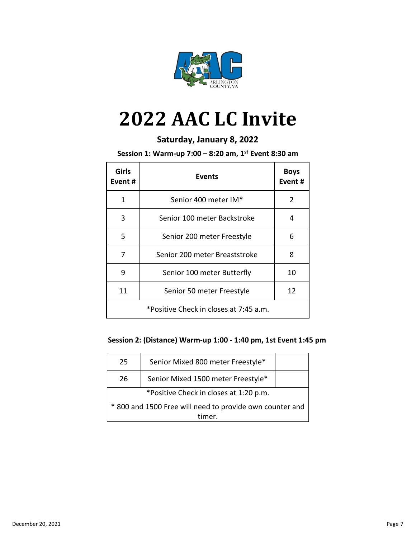

# **2022 AAC LC Invite**

#### **Saturday, January 8, 2022**

**Session 1: Warm-up 7:00 – 8:20 am, 1st Event 8:30 am** 

| Girls<br>Event # | Events                                 | <b>Boys</b><br>Event # |
|------------------|----------------------------------------|------------------------|
| 1                | Senior 400 meter IM*                   | 2                      |
| 3                | Senior 100 meter Backstroke            | 4                      |
| 5                | Senior 200 meter Freestyle             | 6                      |
| 7                | Senior 200 meter Breaststroke          | 8                      |
| 9                | Senior 100 meter Butterfly             | 10                     |
| 11               | Senior 50 meter Freestyle              | 12                     |
|                  | *Positive Check in closes at 7:45 a.m. |                        |

#### **Session 2: (Distance) Warm-up 1:00 - 1:40 pm, 1st Event 1:45 pm**

| 25                                                       | Senior Mixed 800 meter Freestyle*  |  |  |
|----------------------------------------------------------|------------------------------------|--|--|
| 26                                                       | Senior Mixed 1500 meter Freestyle* |  |  |
| *Positive Check in closes at 1:20 p.m.                   |                                    |  |  |
| * 800 and 1500 Free will need to provide own counter and |                                    |  |  |
| timer.                                                   |                                    |  |  |